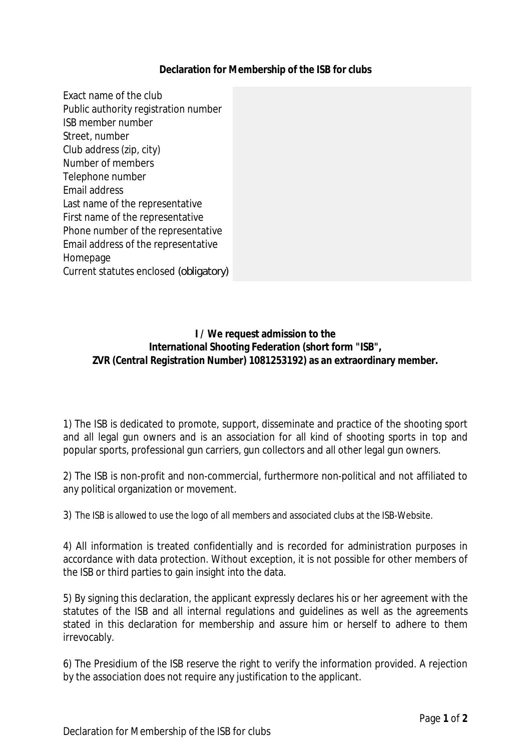## **Declaration for Membership of the ISB for clubs**

Exact name of the club Public authority registration number ISB member number Street, number Club address (zip, city) Number of members Telephone number Email address Last name of the representative First name of the representative Phone number of the representative Email address of the representative Homepage Current statutes enclosed *(obligatory)*

> **I / We request admission to the International Shooting Federation (short form "ISB", ZVR** *(Central Registration Number)* **1081253192) as an extraordinary member.**

1) The ISB is dedicated to promote, support, disseminate and practice of the shooting sport and all legal gun owners and is an association for all kind of shooting sports in top and popular sports, professional gun carriers, gun collectors and all other legal gun owners.

2) The ISB is non-profit and non-commercial, furthermore non-political and not affiliated to any political organization or movement.

3) The ISB is allowed to use the logo of all members and associated clubs at the ISB-Website.

4) All information is treated confidentially and is recorded for administration purposes in accordance with data protection. Without exception, it is not possible for other members of the ISB or third parties to gain insight into the data.

5) By signing this declaration, the applicant expressly declares his or her agreement with the statutes of the ISB and all internal regulations and guidelines as well as the agreements stated in this declaration for membership and assure him or herself to adhere to them irrevocably.

6) The Presidium of the ISB reserve the right to verify the information provided. A rejection by the association does not require any justification to the applicant.